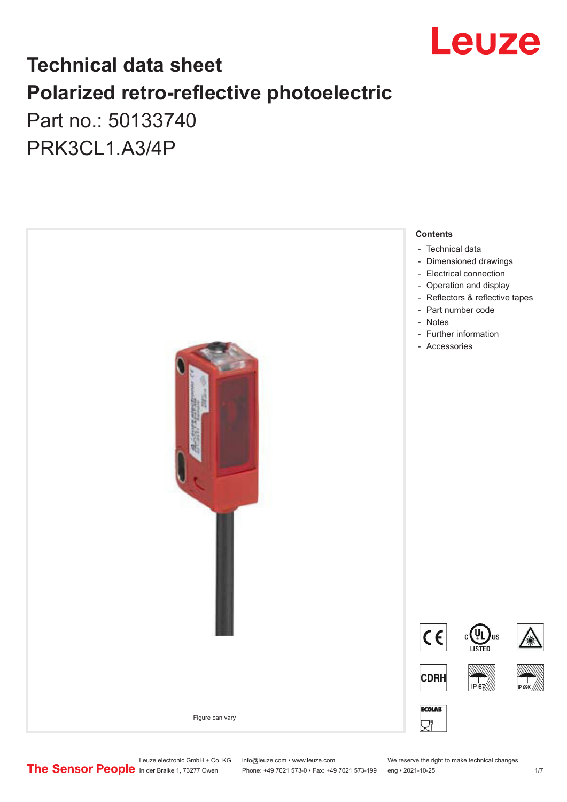

# **Technical data sheet Polarized retro-reflective photoelectric**  Part no.: 50133740

PRK3CL1.A3/4P



Leuze electronic GmbH + Co. KG info@leuze.com • www.leuze.com We reserve the right to make technical changes<br>
The Sensor People in der Braike 1, 73277 Owen Phone: +49 7021 573-0 • Fax: +49 7021 573-199 eng • 2021-10-25

Phone: +49 7021 573-0 • Fax: +49 7021 573-199 eng • 2021-10-25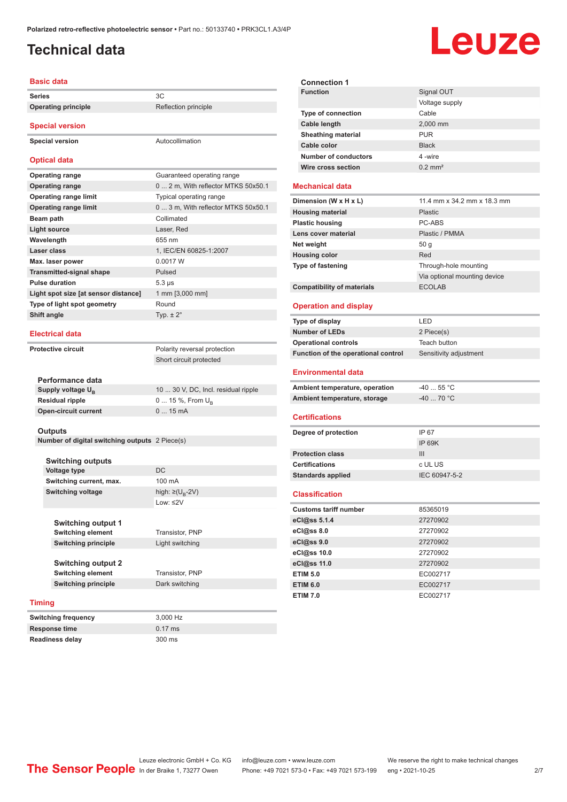# <span id="page-1-0"></span>**Technical data**

# Leuze

| <b>Basic data</b>                              |                                     |
|------------------------------------------------|-------------------------------------|
| <b>Series</b>                                  | 3C                                  |
| <b>Operating principle</b>                     | Reflection principle                |
|                                                |                                     |
| <b>Special version</b>                         |                                     |
| <b>Special version</b>                         | Autocollimation                     |
|                                                |                                     |
| <b>Optical data</b>                            |                                     |
| <b>Operating range</b>                         | Guaranteed operating range          |
| <b>Operating range</b>                         | 0  2 m, With reflector MTKS 50x50.1 |
| <b>Operating range limit</b>                   | Typical operating range             |
| <b>Operating range limit</b>                   | 0  3 m, With reflector MTKS 50x50.1 |
| Beam path                                      | Collimated                          |
| Light source                                   | Laser, Red                          |
| Wavelength                                     | 655 nm                              |
| Laser class                                    | 1. IEC/EN 60825-1:2007              |
| Max. laser power                               | 0.0017 W                            |
| <b>Transmitted-signal shape</b>                | Pulsed                              |
| <b>Pulse duration</b>                          | $5.3 \,\mu s$                       |
| Light spot size [at sensor distance]           | 1 mm [3,000 mm]                     |
| Type of light spot geometry                    | Round                               |
| Shift angle                                    | Typ. $\pm 2^{\circ}$                |
|                                                |                                     |
| Electrical data                                |                                     |
| <b>Protective circuit</b>                      | Polarity reversal protection        |
|                                                | Short circuit protected             |
|                                                |                                     |
| Performance data                               |                                     |
| Supply voltage U <sub>R</sub>                  | 10  30 V, DC, Incl. residual ripple |
| <b>Residual ripple</b>                         | 0  15 %, From $U_B$                 |
| <b>Open-circuit current</b>                    | $015$ mA                            |
|                                                |                                     |
| <b>Outputs</b>                                 |                                     |
| Number of digital switching outputs 2 Piece(s) |                                     |
| <b>Switching outputs</b>                       |                                     |
| Voltage type                                   | D <sub>C</sub>                      |

|        | <b>Voltage type</b>        | DC                                |
|--------|----------------------------|-----------------------------------|
|        | Switching current, max.    | 100 mA                            |
|        | <b>Switching voltage</b>   | high: $\geq$ (U <sub>B</sub> -2V) |
|        |                            | Low: $\leq$ 2V                    |
|        |                            |                                   |
|        | <b>Switching output 1</b>  |                                   |
|        | <b>Switching element</b>   | Transistor, PNP                   |
|        | <b>Switching principle</b> | Light switching                   |
|        |                            |                                   |
|        | <b>Switching output 2</b>  |                                   |
|        | <b>Switching element</b>   | Transistor, PNP                   |
|        | <b>Switching principle</b> | Dark switching                    |
|        |                            |                                   |
| Timing |                            |                                   |

| <b>Switching frequency</b> | 3.000 Hz         |
|----------------------------|------------------|
| Response time              | $0.17$ ms        |
| <b>Readiness delay</b>     | $300 \text{ ms}$ |

| <b>Connection 1</b>         |                       |
|-----------------------------|-----------------------|
| <b>Function</b>             | Signal OUT            |
|                             | Voltage supply        |
| <b>Type of connection</b>   | Cable                 |
| Cable length                | 2,000 mm              |
| <b>Sheathing material</b>   | <b>PUR</b>            |
| Cable color                 | <b>Black</b>          |
| <b>Number of conductors</b> | 4-wire                |
| Wire cross section          | $0.2$ mm <sup>2</sup> |
|                             |                       |

#### **Mechanical data**

| Dimension (W x H x L)             | 11.4 mm x 34.2 mm x 18.3 mm  |
|-----------------------------------|------------------------------|
| <b>Housing material</b>           | <b>Plastic</b>               |
| <b>Plastic housing</b>            | PC-ABS                       |
| Lens cover material               | Plastic / PMMA               |
| Net weight                        | 50q                          |
| <b>Housing color</b>              | Red                          |
| <b>Type of fastening</b>          | Through-hole mounting        |
|                                   | Via optional mounting device |
| <b>Compatibility of materials</b> | <b>ECOLAB</b>                |

#### **Operation and display**

| Type of display                     | LED                    |
|-------------------------------------|------------------------|
| <b>Number of LEDs</b>               | 2 Piece(s)             |
| <b>Operational controls</b>         | Teach button           |
| Function of the operational control | Sensitivity adjustment |
| <b>Environmental data</b>           |                        |
| Ambient temperature, operation      | $-40$ 55 °C            |
| Ambient temperature, storage        | $-4070 °C$             |

#### **Certifications**

| Degree of protection     | IP 67         |
|--------------------------|---------------|
|                          | IP 69K        |
| <b>Protection class</b>  | Ш             |
| <b>Certifications</b>    | c UL US       |
| <b>Standards applied</b> | IEC 60947-5-2 |
|                          |               |

#### **Classification**

| <b>Customs tariff number</b> | 85365019 |
|------------------------------|----------|
| eCl@ss 5.1.4                 | 27270902 |
| eCl@ss 8.0                   | 27270902 |
| eCl@ss 9.0                   | 27270902 |
| eCl@ss 10.0                  | 27270902 |
| eCl@ss 11.0                  | 27270902 |
| <b>ETIM 5.0</b>              | EC002717 |
| <b>ETIM 6.0</b>              | EC002717 |
| <b>ETIM 7.0</b>              | EC002717 |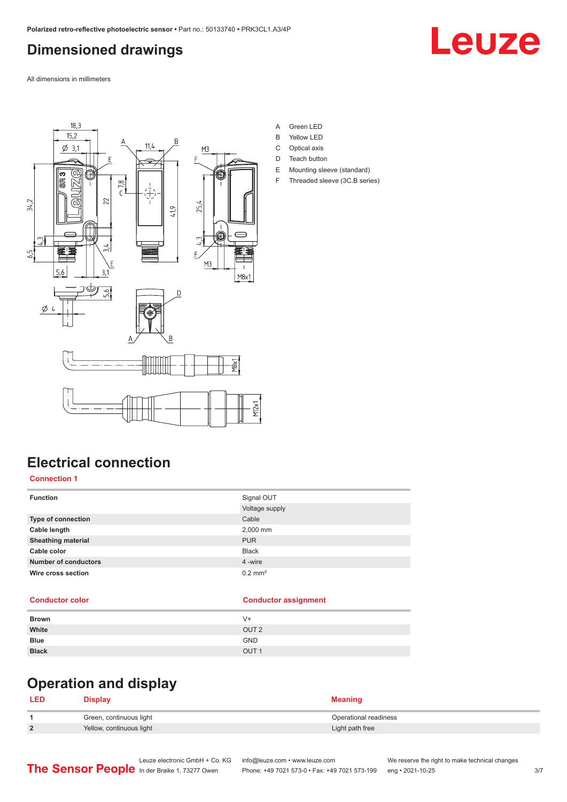# <span id="page-2-0"></span>**Dimensioned drawings**

Leuze

All dimensions in millimeters



- A Green LED
- B Yellow LED
- C Optical axis
- D Teach button
- E Mounting sleeve (standard)
- F Threaded sleeve (3C.B series)

# **Electrical connection**

#### **Connection 1**

| <b>Function</b>             | Signal OUT            |
|-----------------------------|-----------------------|
|                             | Voltage supply        |
| Type of connection          | Cable                 |
| Cable length                | 2,000 mm              |
| <b>Sheathing material</b>   | <b>PUR</b>            |
| Cable color                 | <b>Black</b>          |
| <b>Number of conductors</b> | 4 -wire               |
| Wire cross section          | $0.2$ mm <sup>2</sup> |
|                             |                       |

#### **Conductor color Conductor assignment**

| <b>Brown</b> | $V +$            |
|--------------|------------------|
| White        | OUT <sub>2</sub> |
| <b>Blue</b>  | <b>GND</b>       |
| <b>Black</b> | OUT <sub>1</sub> |

# **Operation and display**

#### **LED Display Meaning 1** Green, continuous light **Continuous Continuous Continuous Continuous Continuous Continuous Continuous Continuous Continuous Continuous Continuous Continuous Continuous Continuous Continuous Continuous Continuous Contin 2** Yellow, continuous light **Victor** Continuous **Continuous** light **Light path free**

|                                               | Leuze electronic GmbH + Co. KG info@leuze.com • www.leuze.com |                                                                | We reserve the right to make technical changes |     |
|-----------------------------------------------|---------------------------------------------------------------|----------------------------------------------------------------|------------------------------------------------|-----|
| The Sensor People In der Braike 1, 73277 Owen |                                                               | Phone: +49 7021 573-0 • Fax: +49 7021 573-199 eng • 2021-10-25 |                                                | 3/7 |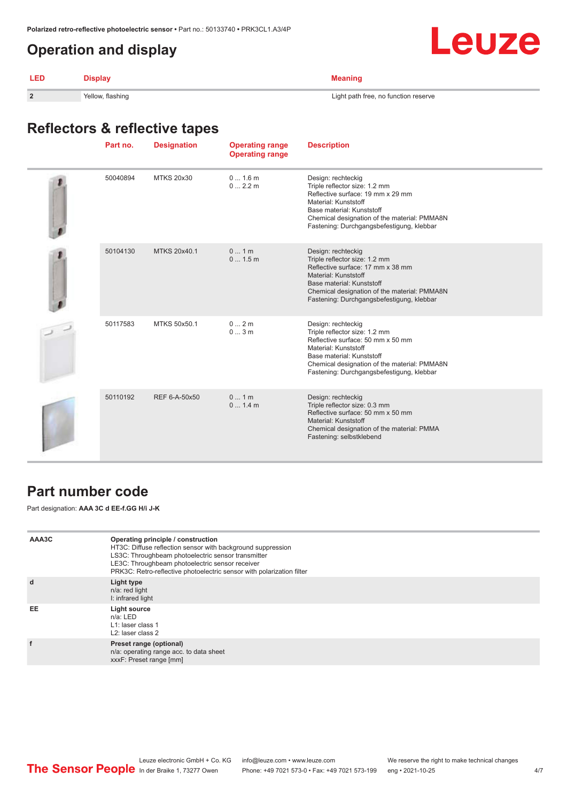### <span id="page-3-0"></span>**Operation and display**



| LED | <b>Display</b>   | <b>Meaning</b>                       |
|-----|------------------|--------------------------------------|
|     | Yellow, flashing | Light path free, no function reserve |

# **Reflectors & reflective tapes**

| Part no. | <b>Designation</b> | <b>Operating range</b><br><b>Operating range</b> | <b>Description</b>                                                                                                                                                                                                                         |
|----------|--------------------|--------------------------------------------------|--------------------------------------------------------------------------------------------------------------------------------------------------------------------------------------------------------------------------------------------|
| 50040894 | <b>MTKS 20x30</b>  | 01.6m<br>02.2m                                   | Design: rechteckig<br>Triple reflector size: 1.2 mm<br>Reflective surface: 19 mm x 29 mm<br>Material: Kunststoff<br>Base material: Kunststoff<br>Chemical designation of the material: PMMA8N<br>Fastening: Durchgangsbefestigung, klebbar |
| 50104130 | MTKS 20x40.1       | 01m<br>01.5m                                     | Design: rechteckig<br>Triple reflector size: 1.2 mm<br>Reflective surface: 17 mm x 38 mm<br>Material: Kunststoff<br>Base material: Kunststoff<br>Chemical designation of the material: PMMA8N<br>Fastening: Durchgangsbefestigung, klebbar |
| 50117583 | MTKS 50x50.1       | 02m<br>03m                                       | Design: rechteckig<br>Triple reflector size: 1.2 mm<br>Reflective surface: 50 mm x 50 mm<br>Material: Kunststoff<br>Base material: Kunststoff<br>Chemical designation of the material: PMMA8N<br>Fastening: Durchgangsbefestigung, klebbar |
| 50110192 | REF 6-A-50x50      | 01m<br>01.4m                                     | Design: rechteckig<br>Triple reflector size: 0.3 mm<br>Reflective surface: 50 mm x 50 mm<br>Material: Kunststoff<br>Chemical designation of the material: PMMA<br>Fastening: selbstklebend                                                 |

### **Part number code**

Part designation: **AAA 3C d EE-f.GG H/i J-K**

| AAA3C     | Operating principle / construction<br>HT3C: Diffuse reflection sensor with background suppression<br>LS3C: Throughbeam photoelectric sensor transmitter<br>LE3C: Throughbeam photoelectric sensor receiver<br>PRK3C: Retro-reflective photoelectric sensor with polarization filter |
|-----------|-------------------------------------------------------------------------------------------------------------------------------------------------------------------------------------------------------------------------------------------------------------------------------------|
| d         | Light type<br>n/a: red light<br>I: infrared light                                                                                                                                                                                                                                   |
| <b>EE</b> | Light source<br>$n/a$ : LED<br>L1: laser class 1<br>L <sub>2</sub> : laser class 2                                                                                                                                                                                                  |
|           | Preset range (optional)<br>n/a: operating range acc. to data sheet<br>xxxF: Preset range [mm]                                                                                                                                                                                       |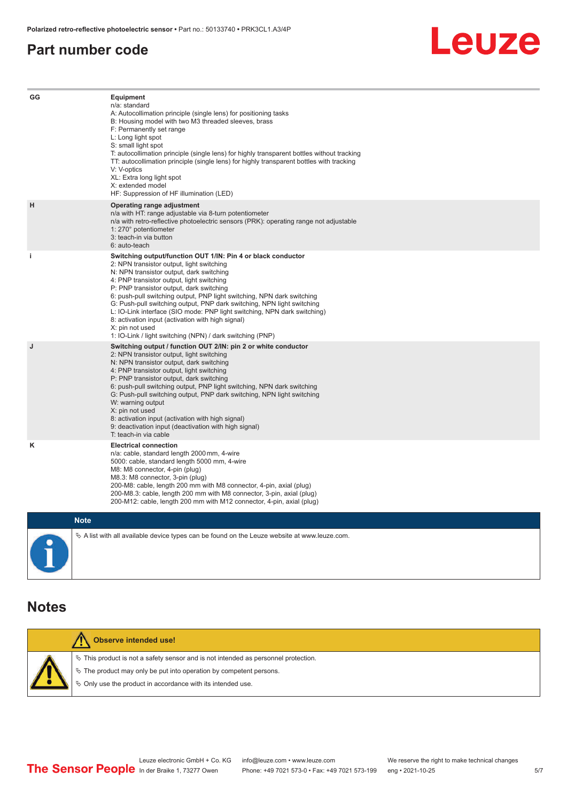#### <span id="page-4-0"></span>**Part number code**



| GG          | Equipment<br>n/a: standard<br>A: Autocollimation principle (single lens) for positioning tasks<br>B: Housing model with two M3 threaded sleeves, brass<br>F: Permanently set range<br>L: Long light spot<br>S: small light spot<br>T: autocollimation principle (single lens) for highly transparent bottles without tracking<br>TT: autocollimation principle (single lens) for highly transparent bottles with tracking<br>V: V-optics<br>XL: Extra long light spot<br>X: extended model<br>HF: Suppression of HF illumination (LED)                                                                              |
|-------------|---------------------------------------------------------------------------------------------------------------------------------------------------------------------------------------------------------------------------------------------------------------------------------------------------------------------------------------------------------------------------------------------------------------------------------------------------------------------------------------------------------------------------------------------------------------------------------------------------------------------|
| н           | Operating range adjustment<br>n/a with HT: range adjustable via 8-turn potentiometer<br>n/a with retro-reflective photoelectric sensors (PRK): operating range not adjustable<br>1: 270° potentiometer<br>3: teach-in via button<br>6: auto-teach                                                                                                                                                                                                                                                                                                                                                                   |
| j.          | Switching output/function OUT 1/IN: Pin 4 or black conductor<br>2: NPN transistor output, light switching<br>N: NPN transistor output, dark switching<br>4: PNP transistor output, light switching<br>P: PNP transistor output, dark switching<br>6: push-pull switching output, PNP light switching, NPN dark switching<br>G: Push-pull switching output, PNP dark switching, NPN light switching<br>L: IO-Link interface (SIO mode: PNP light switching, NPN dark switching)<br>8: activation input (activation with high signal)<br>X: pin not used<br>1: IO-Link / light switching (NPN) / dark switching (PNP) |
| J           | Switching output / function OUT 2/IN: pin 2 or white conductor<br>2: NPN transistor output, light switching<br>N: NPN transistor output, dark switching<br>4: PNP transistor output, light switching<br>P: PNP transistor output, dark switching<br>6: push-pull switching output, PNP light switching, NPN dark switching<br>G: Push-pull switching output, PNP dark switching, NPN light switching<br>W: warning output<br>X: pin not used<br>8: activation input (activation with high signal)<br>9: deactivation input (deactivation with high signal)<br>T: teach-in via cable                                 |
| κ           | <b>Electrical connection</b><br>n/a: cable, standard length 2000 mm, 4-wire<br>5000: cable, standard length 5000 mm, 4-wire<br>M8: M8 connector, 4-pin (plug)<br>M8.3: M8 connector, 3-pin (plug)<br>200-M8: cable, length 200 mm with M8 connector, 4-pin, axial (plug)<br>200-M8.3: cable, length 200 mm with M8 connector, 3-pin, axial (plug)<br>200-M12: cable, length 200 mm with M12 connector, 4-pin, axial (plug)                                                                                                                                                                                          |
| <b>Note</b> |                                                                                                                                                                                                                                                                                                                                                                                                                                                                                                                                                                                                                     |

 $\blacksquare$ Г  $\&$  A list with all available device types can be found on the Leuze website at www.leuze.com.

#### **Notes**

| Observe intended use!                                                                 |
|---------------------------------------------------------------------------------------|
| $\%$ This product is not a safety sensor and is not intended as personnel protection. |
| $\%$ The product may only be put into operation by competent persons.                 |
| ♦ Only use the product in accordance with its intended use.                           |
|                                                                                       |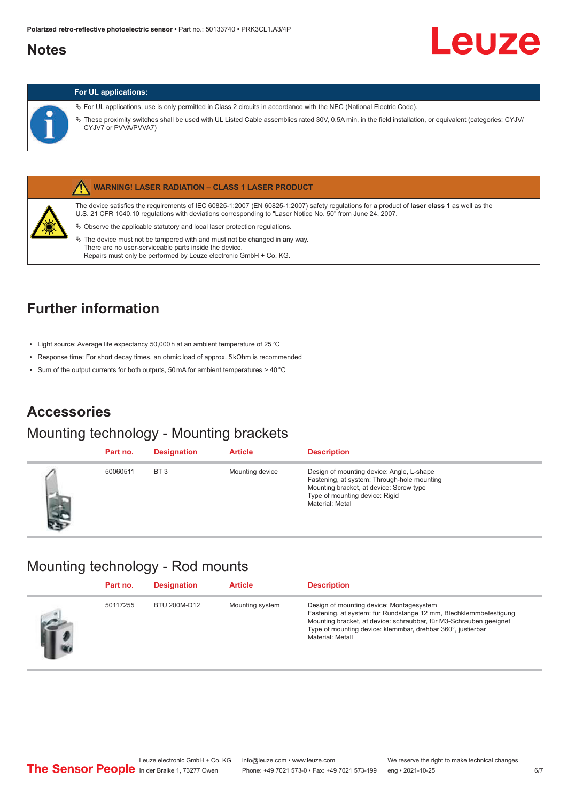### <span id="page-5-0"></span>**Notes**

# Leuze

#### **For UL applications:**

ª For UL applications, use is only permitted in Class 2 circuits in accordance with the NEC (National Electric Code).

ª These proximity switches shall be used with UL Listed Cable assemblies rated 30V, 0.5A min, in the field installation, or equivalent (categories: CYJV/ CYJV7 or PVVA/PVVA7)



#### **WARNING! LASER RADIATION – CLASS 1 LASER PRODUCT**

The device satisfies the requirements of IEC 60825-1:2007 (EN 60825-1:2007) safety regulations for a product of **laser class 1** as well as the U.S. 21 CFR 1040.10 regulations with deviations corresponding to "Laser Notice No. 50" from June 24, 2007.

- $\%$  Observe the applicable statutory and local laser protection regulations.
- $\%$  The device must not be tampered with and must not be changed in any way. There are no user-serviceable parts inside the device. Repairs must only be performed by Leuze electronic GmbH + Co. KG.

# **Further information**

- Light source: Average life expectancy 50,000 h at an ambient temperature of 25 °C
- Response time: For short decay times, an ohmic load of approx. 5 kOhm is recommended
- Sum of the output currents for both outputs, 50 mA for ambient temperatures > 40 °C

### **Accessories**

#### Mounting technology - Mounting brackets

|     | Part no. | <b>Designation</b> | <b>Article</b>  | <b>Description</b>                                                                                                                                                                       |
|-----|----------|--------------------|-----------------|------------------------------------------------------------------------------------------------------------------------------------------------------------------------------------------|
| 465 | 50060511 | BT <sub>3</sub>    | Mounting device | Design of mounting device: Angle, L-shape<br>Fastening, at system: Through-hole mounting<br>Mounting bracket, at device: Screw type<br>Type of mounting device: Rigid<br>Material: Metal |

#### Mounting technology - Rod mounts

| Part no. | <b>Designation</b> | <b>Article</b>  | <b>Description</b>                                                                                                                                                                                                                                                     |
|----------|--------------------|-----------------|------------------------------------------------------------------------------------------------------------------------------------------------------------------------------------------------------------------------------------------------------------------------|
| 50117255 | BTU 200M-D12       | Mounting system | Design of mounting device: Montagesystem<br>Fastening, at system: für Rundstange 12 mm, Blechklemmbefestigung<br>Mounting bracket, at device: schraubbar, für M3-Schrauben geeignet<br>Type of mounting device: klemmbar, drehbar 360°, justierbar<br>Material: Metall |